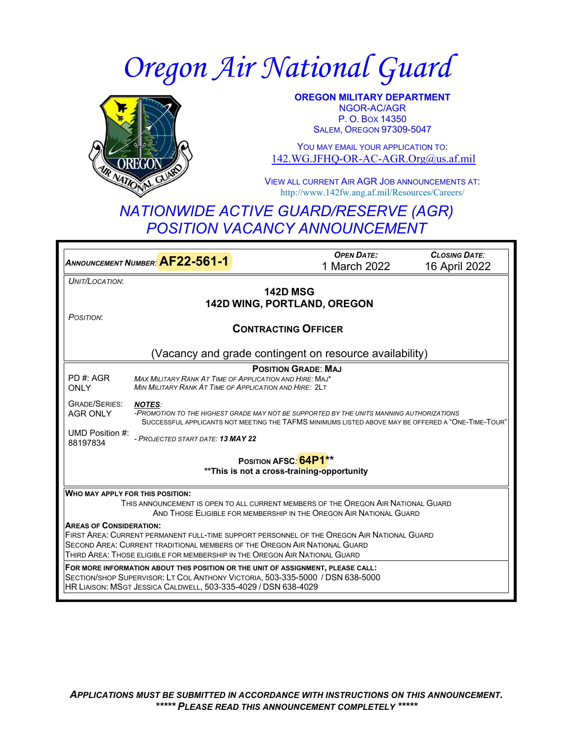# *Oregon Air National Guard*



**OREGON MILITARY DEPARTMENT** NGOR-AC/AGR P. O. BOX 14350 SALEM, OREGON 97309-5047

YOU MAY EMAIL YOUR APPLICATION TO: [142.WG.JFHQ-OR-AC-AGR.Org@us.af.mil](mailto:142.WG.JFHQ-OR-AC-AGR.Org@us.af.mil)

VIEW ALL CURRENT AIR AGR JOB ANNOUNCEMENTS AT: http://www.142fw.ang.af.mil/Resources/Careers/

## *NATIONWIDE ACTIVE GUARD/RESERVE (AGR) POSITION VACANCY ANNOUNCEMENT*

*<sup>A</sup>NNOUNCEMENT NUMBER:* **AF22-561-1** *OPEN DATE:* 1 March 2022 *CLOSING DATE:* 16 April 2022 *UNIT/LOCATION*: **142D MSG 142D WING, PORTLAND, OREGON** *POSITION*: **CONTRACTING OFFICER** (Vacancy and grade contingent on resource availability) PD #: AGR **ONLY** GRADE/SERIES: AGR ONLY UMD Position #: 88197834 **POSITION GRADE**: **MAJ** *MAX MILITARY RANK AT TIME OF APPLICATION AND HIRE:* MAJ\* *MIN MILITARY RANK AT TIME OF APPLICATION AND HIRE:* 2LT *NOTES: -PROMOTION TO THE HIGHEST GRADE MAY NOT BE SUPPORTED BY THE UNITS MANNING AUTHORIZATIONS* SUCCESSFUL APPLICANTS NOT MEETING THE TAFMS MINIMUMS LISTED ABOVE MAY BE OFFERED A "ONE-TIME-TOUR" *- PROJECTED START DATE: 13 MAY 22* **POSITION AFSC***:* **64P1\*\* \*\*This is not a cross-training-opportunity WHO MAY APPLY FOR THIS POSITION:** THIS ANNOUNCEMENT IS OPEN TO ALL CURRENT MEMBERS OF THE OREGON AIR NATIONAL GUARD AND THOSE ELIGIBLE FOR MEMBERSHIP IN THE OREGON AIR NATIONAL GUARD **AREAS OF CONSIDERATION:** FIRST AREA: CURRENT PERMANENT FULL-TIME SUPPORT PERSONNEL OF THE OREGON AIR NATIONAL GUARD SECOND AREA: CURRENT TRADITIONAL MEMBERS OF THE OREGON AIR NATIONAL GUARD THIRD AREA: THOSE ELIGIBLE FOR MEMBERSHIP IN THE OREGON AIR NATIONAL GUARD **FOR MORE INFORMATION ABOUT THIS POSITION OR THE UNIT OF ASSIGNMENT, PLEASE CALL:** SECTION/SHOP SUPERVISOR: LT COL ANTHONY VICTORIA, 503-335-5000 / DSN 638-5000 HR LIAISON: MSGT JESSICA CALDWELL, 503-335-4029 / DSN 638-4029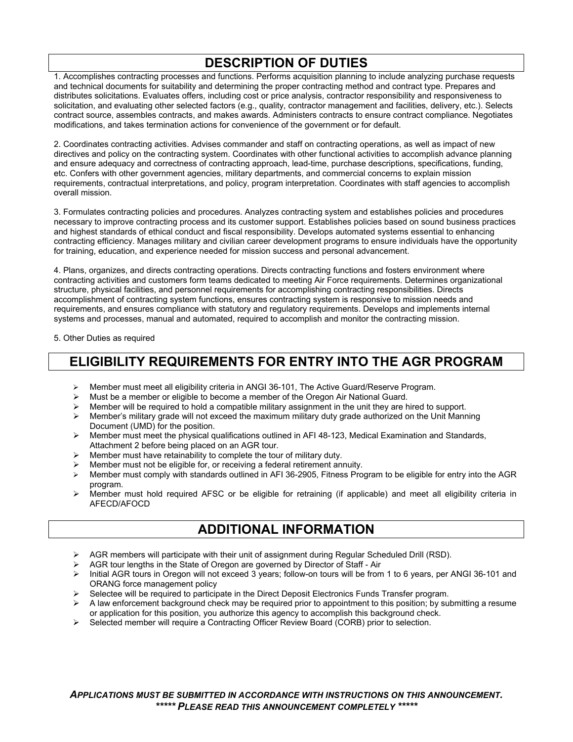## **DESCRIPTION OF DUTIES**

1. Accomplishes contracting processes and functions. Performs acquisition planning to include analyzing purchase requests and technical documents for suitability and determining the proper contracting method and contract type. Prepares and distributes solicitations. Evaluates offers, including cost or price analysis, contractor responsibility and responsiveness to solicitation, and evaluating other selected factors (e.g., quality, contractor management and facilities, delivery, etc.). Selects contract source, assembles contracts, and makes awards. Administers contracts to ensure contract compliance. Negotiates modifications, and takes termination actions for convenience of the government or for default.

2. Coordinates contracting activities. Advises commander and staff on contracting operations, as well as impact of new directives and policy on the contracting system. Coordinates with other functional activities to accomplish advance planning and ensure adequacy and correctness of contracting approach, lead-time, purchase descriptions, specifications, funding, etc. Confers with other government agencies, military departments, and commercial concerns to explain mission requirements, contractual interpretations, and policy, program interpretation. Coordinates with staff agencies to accomplish overall mission.

3. Formulates contracting policies and procedures. Analyzes contracting system and establishes policies and procedures necessary to improve contracting process and its customer support. Establishes policies based on sound business practices and highest standards of ethical conduct and fiscal responsibility. Develops automated systems essential to enhancing contracting efficiency. Manages military and civilian career development programs to ensure individuals have the opportunity for training, education, and experience needed for mission success and personal advancement.

4. Plans, organizes, and directs contracting operations. Directs contracting functions and fosters environment where contracting activities and customers form teams dedicated to meeting Air Force requirements. Determines organizational structure, physical facilities, and personnel requirements for accomplishing contracting responsibilities. Directs accomplishment of contracting system functions, ensures contracting system is responsive to mission needs and requirements, and ensures compliance with statutory and regulatory requirements. Develops and implements internal systems and processes, manual and automated, required to accomplish and monitor the contracting mission.

5. Other Duties as required

#### **ELIGIBILITY REQUIREMENTS FOR ENTRY INTO THE AGR PROGRAM**

- Member must meet all eligibility criteria in ANGI 36-101, The Active Guard/Reserve Program.
- Must be a member or eligible to become a member of the Oregon Air National Guard.
- Member will be required to hold a compatible military assignment in the unit they are hired to support.<br>Member's military grade will not exceed the maximum military duty grade authorized on the Unit Mann
- Member's military grade will not exceed the maximum military duty grade authorized on the Unit Manning Document (UMD) for the position.
- $\triangleright$  Member must meet the physical qualifications outlined in AFI 48-123, Medical Examination and Standards, Attachment 2 before being placed on an AGR tour.
- Member must have retainability to complete the tour of military duty.
- Member must not be eligible for, or receiving a federal retirement annuity.
- Member must comply with standards outlined in AFI 36-2905, Fitness Program to be eligible for entry into the AGR program.
- $\triangleright$  Member must hold required AFSC or be eligible for retraining (if applicable) and meet all eligibility criteria in AFECD/AFOCD

### **ADDITIONAL INFORMATION**

- $\triangleright$  AGR members will participate with their unit of assignment during Regular Scheduled Drill (RSD).
- AGR tour lengths in the State of Oregon are governed by Director of Staff Air
- $\triangleright$  Initial AGR tours in Oregon will not exceed 3 years; follow-on tours will be from 1 to 6 years, per ANGI 36-101 and ORANG force management policy
- Selectee will be required to participate in the Direct Deposit Electronics Funds Transfer program.
- A law enforcement background check may be required prior to appointment to this position; by submitting a resume or application for this position, you authorize this agency to accomplish this background check.
- Selected member will require a Contracting Officer Review Board (CORB) prior to selection.

*APPLICATIONS MUST BE SUBMITTED IN ACCORDANCE WITH INSTRUCTIONS ON THIS ANNOUNCEMENT. \*\*\*\*\* PLEASE READ THIS ANNOUNCEMENT COMPLETELY \*\*\*\*\**